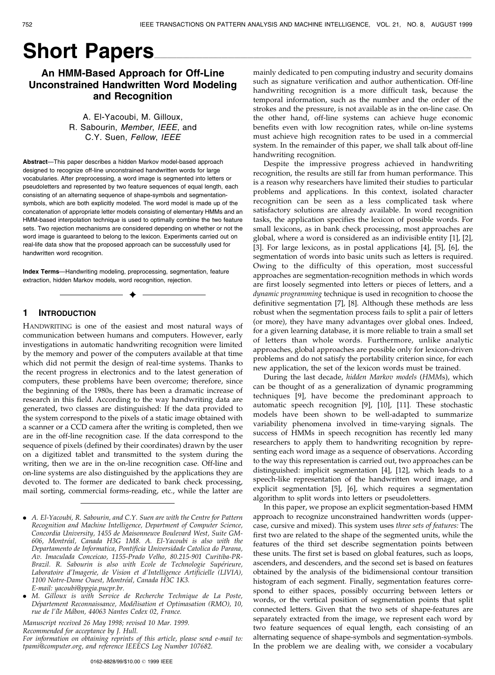# Short Papers

## An HMM-Based Approach for Off-Line Unconstrained Handwritten Word Modeling and Recognition

A. El-Yacoubi, M. Gilloux, R. Sabourin, Member, IEEE, and C.Y. Suen, Fellow, IEEE

Abstract—This paper describes a hidden Markov model-based approach designed to recognize off-line unconstrained handwritten words for large vocabularies. After preprocessing, a word image is segmented into letters or pseudoletters and represented by two feature sequences of equal length, each consisting of an alternating sequence of shape-symbols and segmentationsymbols, which are both explicitly modeled. The word model is made up of the concatenation of appropriate letter models consisting of elementary HMMs and an HMM-based interpolation technique is used to optimally combine the two feature sets. Two rejection mechanisms are considered depending on whether or not the word image is guaranteed to belong to the lexicon. Experiments carried out on real-life data show that the proposed approach can be successfully used for handwritten word recognition.

Index Terms-Handwriting modeling, preprocessing, segmentation, feature extraction, hidden Markov models, word recognition, rejection.

– ◆

## 1 INTRODUCTION

HANDWRITING is one of the easiest and most natural ways of communication between humans and computers. However, early investigations in automatic handwriting recognition were limited by the memory and power of the computers available at that time which did not permit the design of real-time systems. Thanks to the recent progress in electronics and to the latest generation of computers, these problems have been overcome; therefore, since the beginning of the 1980s, there has been a dramatic increase of research in this field. According to the way handwriting data are generated, two classes are distinguished: If the data provided to the system correspond to the pixels of a static image obtained with a scanner or a CCD camera after the writing is completed, then we are in the off-line recognition case. If the data correspond to the sequence of pixels (defined by their coordinates) drawn by the user on a digitized tablet and transmitted to the system during the writing, then we are in the on-line recognition case. Off-line and on-line systems are also distinguished by the applications they are devoted to. The former are dedicated to bank check processing, mail sorting, commercial forms-reading, etc., while the latter are

Manuscript received 26 May 1998; revised 10 Mar. 1999.

Recommended for acceptance by J. Hull.

mainly dedicated to pen computing industry and security domains such as signature verification and author authentication. Off-line handwriting recognition is a more difficult task, because the temporal information, such as the number and the order of the strokes and the pressure, is not available as in the on-line case. On the other hand, off-line systems can achieve huge economic benefits even with low recognition rates, while on-line systems must achieve high recognition rates to be used in a commercial system. In the remainder of this paper, we shall talk about off-line handwriting recognition.

Despite the impressive progress achieved in handwriting recognition, the results are still far from human performance. This is a reason why researchers have limited their studies to particular problems and applications. In this context, isolated character recognition can be seen as a less complicated task where satisfactory solutions are already available. In word recognition tasks, the application specifies the lexicon of possible words. For small lexicons, as in bank check processing, most approaches are global, where a word is considered as an indivisible entity [1], [2], [3]. For large lexicons, as in postal applications [4], [5], [6], the segmentation of words into basic units such as letters is required. Owing to the difficulty of this operation, most successful approaches are segmentation-recognition methods in which words are first loosely segmented into letters or pieces of letters, and a dynamic programming technique is used in recognition to choose the definitive segmentation [7], [8]. Although these methods are less robust when the segmentation process fails to split a pair of letters (or more), they have many advantages over global ones. Indeed, for a given learning database, it is more reliable to train a small set of letters than whole words. Furthermore, unlike analytic approaches, global approaches are possible only for lexicon-driven problems and do not satisfy the portability criterion since, for each new application, the set of the lexicon words must be trained.

During the last decade, hidden Markov models (HMMs), which can be thought of as a generalization of dynamic programming techniques [9], have become the predominant approach to automatic speech recognition [9], [10], [11]. These stochastic models have been shown to be well-adapted to summarize variability phenomena involved in time-varying signals. The success of HMMs in speech recognition has recently led many researchers to apply them to handwriting recognition by representing each word image as a sequence of observations. According to the way this representation is carried out, two approaches can be distinguished: implicit segmentation [4], [12], which leads to a speech-like representation of the handwritten word image, and explicit segmentation [5], [6], which requires a segmentation algorithm to split words into letters or pseudoletters.

In this paper, we propose an explicit segmentation-based HMM approach to recognize unconstrained handwritten words (uppercase, cursive and mixed). This system uses three sets of features: The first two are related to the shape of the segmented units, while the features of the third set describe segmentation points between these units. The first set is based on global features, such as loops, ascenders, and descenders, and the second set is based on features obtained by the analysis of the bidimensional contour transition histogram of each segment. Finally, segmentation features correspond to either spaces, possibly occurring between letters or words, or the vertical position of segmentation points that split connected letters. Given that the two sets of shape-features are separately extracted from the image, we represent each word by two feature sequences of equal length, each consisting of an alternating sequence of shape-symbols and segmentation-symbols. In the problem we are dealing with, we consider a vocabulary

<sup>.</sup> A. El-Yacoubi, R. Sabourin, and C.Y. Suen are with the Centre for Pattern Recognition and Machine Intelligence, Department of Computer Science, Concordia University, 1455 de Maisonneuve Boulevard West, Suite GM-606, Montréal, Canada H3G 1M8. A. El-Yacoubi is also with the Departamento de Informatica, Pontificia Universidade Catolica do Parana, Av. Imaculada Conceicao, 1155-Prado Velho, 80.215-901 Curitiba-PR-Brazil. R. Sabourin is also with Ecole de Technologie Supérieure, Laboratoire d'Imagerie, de Vision et d'Intelligence Artificielle (LIVIA), 1100 Notre-Dame Ouest, Montréal, Canada H3C 1K3. E-mail: yacoubi@ppgia.pucpr.br.

<sup>.</sup> M. Gilloux is with Service de Recherche Technique de La Poste, Département Reconnaissance, Modélisation et Optimasation (RMO), 10, rue de l'île Mâbon, 44063 Nantes Cedex 02, France.

For information on obtaining reprints of this article, please send e-mail to: tpami@computer.org, and reference IEEECS Log Number 107682.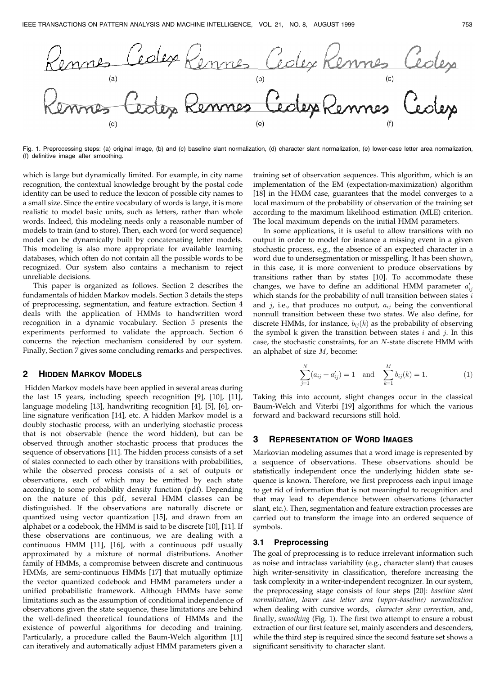

Fig. 1. Preprocessing steps: (a) original image, (b) and (c) baseline slant normalization, (d) character slant normalization, (e) lower-case letter area normalization, (f) definitive image after smoothing.

which is large but dynamically limited. For example, in city name recognition, the contextual knowledge brought by the postal code identity can be used to reduce the lexicon of possible city names to a small size. Since the entire vocabulary of words is large, it is more realistic to model basic units, such as letters, rather than whole words. Indeed, this modeling needs only a reasonable number of models to train (and to store). Then, each word (or word sequence) model can be dynamically built by concatenating letter models. This modeling is also more appropriate for available learning databases, which often do not contain all the possible words to be recognized. Our system also contains a mechanism to reject unreliable decisions.

This paper is organized as follows. Section 2 describes the fundamentals of hidden Markov models. Section 3 details the steps of preprocessing, segmentation, and feature extraction. Section 4 deals with the application of HMMs to handwritten word recognition in a dynamic vocabulary. Section 5 presents the experiments performed to validate the approach. Section 6 concerns the rejection mechanism considered by our system. Finally, Section 7 gives some concluding remarks and perspectives.

## 2 HIDDEN MARKOV MODELS

Hidden Markov models have been applied in several areas during the last 15 years, including speech recognition [9], [10], [11], language modeling [13], handwriting recognition [4], [5], [6], online signature verification [14], etc. A hidden Markov model is a doubly stochastic process, with an underlying stochastic process that is not observable (hence the word hidden), but can be observed through another stochastic process that produces the sequence of observations [11]. The hidden process consists of a set of states connected to each other by transitions with probabilities, while the observed process consists of a set of outputs or observations, each of which may be emitted by each state according to some probability density function (pdf). Depending on the nature of this pdf, several HMM classes can be distinguished. If the observations are naturally discrete or quantized using vector quantization [15], and drawn from an alphabet or a codebook, the HMM is said to be discrete [10], [11]. If these observations are continuous, we are dealing with a continuous HMM [11], [16], with a continuous pdf usually approximated by a mixture of normal distributions. Another family of HMMs, a compromise between discrete and continuous HMMs, are semi-continuous HMMs [17] that mutually optimize the vector quantized codebook and HMM parameters under a unified probabilistic framework. Although HMMs have some limitations such as the assumption of conditional independence of observations given the state sequence, these limitations are behind the well-defined theoretical foundations of HMMs and the existence of powerful algorithms for decoding and training. Particularly, a procedure called the Baum-Welch algorithm [11] can iteratively and automatically adjust HMM parameters given a

training set of observation sequences. This algorithm, which is an implementation of the EM (expectation-maximization) algorithm [18] in the HMM case, guarantees that the model converges to a local maximum of the probability of observation of the training set according to the maximum likelihood estimation (MLE) criterion. The local maximum depends on the initial HMM parameters.

In some applications, it is useful to allow transitions with no output in order to model for instance a missing event in a given stochastic process, e.g., the absence of an expected character in a word due to undersegmentation or misspelling. It has been shown, in this case, it is more convenient to produce observations by transitions rather than by states [10]. To accommodate these changes, we have to define an additional HMM parameter  $a'_{ij}$ which stands for the probability of null transition between states  $i$ and  $j$ , i.e., that produces no output,  $a_{ij}$  being the conventional nonnull transition between these two states. We also define, for discrete HMMs, for instance,  $b_{ij}(k)$  as the probability of observing the symbol k given the transition between states  $i$  and  $j$ . In this case, the stochastic constraints, for an N-state discrete HMM with an alphabet of size M, become:

$$
\sum_{j=1}^{N} (a_{ij} + a'_{ij}) = 1 \text{ and } \sum_{k=1}^{M} b_{ij}(k) = 1.
$$
 (1)

Taking this into account, slight changes occur in the classical Baum-Welch and Viterbi [19] algorithms for which the various forward and backward recursions still hold.

## 3 REPRESENTATION OF WORD IMAGES

Markovian modeling assumes that a word image is represented by a sequence of observations. These observations should be statistically independent once the underlying hidden state sequence is known. Therefore, we first preprocess each input image to get rid of information that is not meaningful to recognition and that may lead to dependence between observations (character slant, etc.). Then, segmentation and feature extraction processes are carried out to transform the image into an ordered sequence of symbols.

#### 3.1 Preprocessing

The goal of preprocessing is to reduce irrelevant information such as noise and intraclass variability (e.g., character slant) that causes high writer-sensitivity in classification, therefore increasing the task complexity in a writer-independent recognizer. In our system, the preprocessing stage consists of four steps [20]: baseline slant normalization, lower case letter area (upper-baseline) normalization when dealing with cursive words, character skew correction, and, finally, smoothing (Fig. 1). The first two attempt to ensure a robust extraction of our first feature set, mainly ascenders and descenders, while the third step is required since the second feature set shows a significant sensitivity to character slant.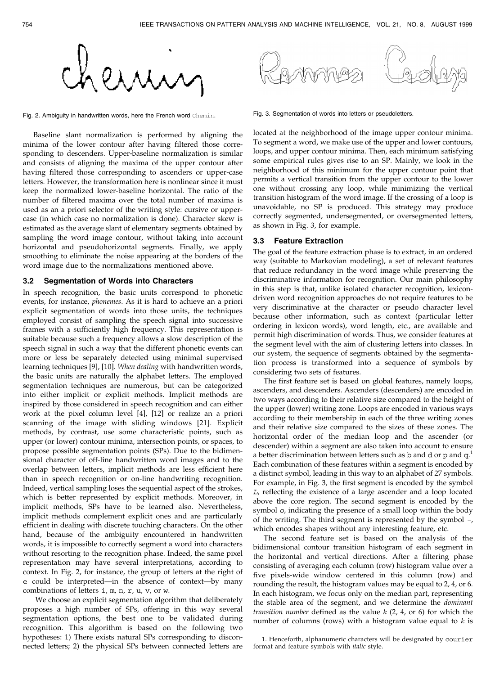

Fig. 2. Ambiguity in handwritten words, here the French word Chemin. Fig. 3. Segmentation of words into letters or pseudoletters.

Baseline slant normalization is performed by aligning the minima of the lower contour after having filtered those corresponding to descenders. Upper-baseline normalization is similar and consists of aligning the maxima of the upper contour after having filtered those corresponding to ascenders or upper-case letters. However, the transformation here is nonlinear since it must keep the normalized lower-baseline horizontal. The ratio of the number of filtered maxima over the total number of maxima is used as an a priori selector of the writing style: cursive or uppercase (in which case no normalization is done). Character skew is estimated as the average slant of elementary segments obtained by sampling the word image contour, without taking into account horizontal and pseudohorizontal segments. Finally, we apply smoothing to eliminate the noise appearing at the borders of the word image due to the normalizations mentioned above.

## 3.2 Segmentation of Words into Characters

In speech recognition, the basic units correspond to phonetic events, for instance, phonemes. As it is hard to achieve an a priori explicit segmentation of words into those units, the techniques employed consist of sampling the speech signal into successive frames with a sufficiently high frequency. This representation is suitable because such a frequency allows a slow description of the speech signal in such a way that the different phonetic events can more or less be separately detected using minimal supervised learning techniques [9], [10]. When dealing with handwritten words, the basic units are naturally the alphabet letters. The employed segmentation techniques are numerous, but can be categorized into either implicit or explicit methods. Implicit methods are inspired by those considered in speech recognition and can either work at the pixel column level [4], [12] or realize an a priori scanning of the image with sliding windows [21]. Explicit methods, by contrast, use some characteristic points, such as upper (or lower) contour minima, intersection points, or spaces, to propose possible segmentation points (SPs). Due to the bidimensional character of off-line handwritten word images and to the overlap between letters, implicit methods are less efficient here than in speech recognition or on-line handwriting recognition. Indeed, vertical sampling loses the sequential aspect of the strokes, which is better represented by explicit methods. Moreover, in implicit methods, SPs have to be learned also. Nevertheless, implicit methods complement explicit ones and are particularly efficient in dealing with discrete touching characters. On the other hand, because of the ambiguity encountered in handwritten words, it is impossible to correctly segment a word into characters without resorting to the recognition phase. Indeed, the same pixel representation may have several interpretations, according to context. In Fig. 2, for instance, the group of letters at the right of e could be interpreted—in the absence of context—by many combinations of letters  $i$ ,  $m$ ,  $n$ ,  $r$ ,  $u$ ,  $v$ , or w.

We choose an explicit segmentation algorithm that deliberately proposes a high number of SPs, offering in this way several segmentation options, the best one to be validated during recognition. This algorithm is based on the following two hypotheses: 1) There exists natural SPs corresponding to disconnected letters; 2) the physical SPs between connected letters are



located at the neighborhood of the image upper contour minima. To segment a word, we make use of the upper and lower contours, loops, and upper contour minima. Then, each minimum satisfying some empirical rules gives rise to an SP. Mainly, we look in the neighborhood of this minimum for the upper contour point that permits a vertical transition from the upper contour to the lower one without crossing any loop, while minimizing the vertical transition histogram of the word image. If the crossing of a loop is unavoidable, no SP is produced. This strategy may produce correctly segmented, undersegmented, or oversegmented letters, as shown in Fig. 3, for example.

## 3.3 Feature Extraction

The goal of the feature extraction phase is to extract, in an ordered way (suitable to Markovian modeling), a set of relevant features that reduce redundancy in the word image while preserving the discriminative information for recognition. Our main philosophy in this step is that, unlike isolated character recognition, lexicondriven word recognition approaches do not require features to be very discriminative at the character or pseudo character level because other information, such as context (particular letter ordering in lexicon words), word length, etc., are available and permit high discrimination of words. Thus, we consider features at the segment level with the aim of clustering letters into classes. In our system, the sequence of segments obtained by the segmentation process is transformed into a sequence of symbols by considering two sets of features.

The first feature set is based on global features, namely loops, ascenders, and descenders. Ascenders (descenders) are encoded in two ways according to their relative size compared to the height of the upper (lower) writing zone. Loops are encoded in various ways according to their membership in each of the three writing zones and their relative size compared to the sizes of these zones. The horizontal order of the median loop and the ascender (or descender) within a segment are also taken into account to ensure a better discrimination between letters such as b and d or p and  $q<sup>1</sup>$ Each combination of these features within a segment is encoded by a distinct symbol, leading in this way to an alphabet of 27 symbols. For example, in Fig. 3, the first segment is encoded by the symbol L, reflecting the existence of a large ascender and a loop located above the core region. The second segment is encoded by the symbol o, indicating the presence of a small loop within the body of the writing. The third segment is represented by the symbol -, which encodes shapes without any interesting feature, etc.

The second feature set is based on the analysis of the bidimensional contour transition histogram of each segment in the horizontal and vertical directions. After a filtering phase consisting of averaging each column (row) histogram value over a five pixels-wide window centered in this column (row) and rounding the result, the histogram values may be equal to 2, 4, or 6. In each histogram, we focus only on the median part, representing the stable area of the segment, and we determine the dominant transition number defined as the value  $k$  (2, 4, or 6) for which the number of columns (rows) with a histogram value equal to  $k$  is

<sup>1.</sup> Henceforth, alphanumeric characters will be designated by courier format and feature symbols with *italic* style.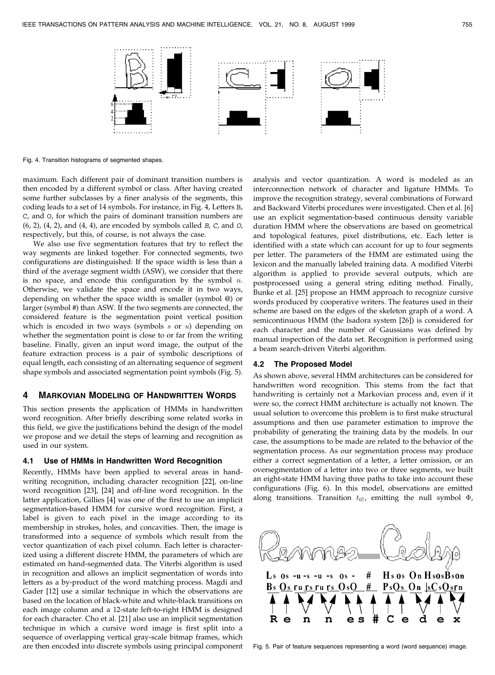

Fig. 4. Transition histograms of segmented shapes.

maximum. Each different pair of dominant transition numbers is then encoded by a different symbol or class. After having created some further subclasses by a finer analysis of the segments, this coding leads to a set of 14 symbols. For instance, in Fig. 4, Letters B, C, and O, for which the pairs of dominant transition numbers are  $(6, 2)$ ,  $(4, 2)$ , and  $(4, 4)$ , are encoded by symbols called B, C, and O, respectively, but this, of course, is not always the case.

We also use five segmentation features that try to reflect the way segments are linked together. For connected segments, two configurations are distinguished: If the space width is less than a third of the average segment width (ASW), we consider that there is no space, and encode this configuration by the symbol  $n$ . Otherwise, we validate the space and encode it in two ways, depending on whether the space width is smaller (symbol @) or larger (symbol #) than ASW. If the two segments are connected, the considered feature is the segmentation point vertical position which is encoded in two ways (symbols  $s$  or  $u$ ) depending on whether the segmentation point is close to or far from the writing baseline. Finally, given an input word image, the output of the feature extraction process is a pair of symbolic descriptions of equal length, each consisting of an alternating sequence of segment shape symbols and associated segmentation point symbols (Fig. 5).

### 4 MARKOVIAN MODELING OF HANDWRITTEN WORDS

This section presents the application of HMMs in handwritten word recognition. After briefly describing some related works in this field, we give the justifications behind the design of the model we propose and we detail the steps of learning and recognition as used in our system.

### 4.1 Use of HMMs in Handwritten Word Recognition

Recently, HMMs have been applied to several areas in handwriting recognition, including character recognition [22], on-line word recognition [23], [24] and off-line word recognition. In the latter application, Gillies [4] was one of the first to use an implicit segmentation-based HMM for cursive word recognition. First, a label is given to each pixel in the image according to its membership in strokes, holes, and concavities. Then, the image is transformed into a sequence of symbols which result from the vector quantization of each pixel column. Each letter is characterized using a different discrete HMM, the parameters of which are estimated on hand-segmented data. The Viterbi algorithm is used in recognition and allows an implicit segmentation of words into letters as a by-product of the word matching process. Magdi and Gader [12] use a similar technique in which the observations are based on the location of black-white and white-black transitions on each image column and a 12-state left-to-right HMM is designed for each character. Cho et al. [21] also use an implicit segmentation technique in which a cursive word image is first split into a sequence of overlapping vertical gray-scale bitmap frames, which are then encoded into discrete symbols using principal component

analysis and vector quantization. A word is modeled as an interconnection network of character and ligature HMMs. To improve the recognition strategy, several combinations of Forward and Backward Viterbi procedures were investigated. Chen et al. [6] use an explicit segmentation-based continuous density variable duration HMM where the observations are based on geometrical and topological features, pixel distributions, etc. Each letter is identified with a state which can account for up to four segments per letter. The parameters of the HMM are estimated using the lexicon and the manually labeled training data. A modified Viterbi algorithm is applied to provide several outputs, which are postprocessed using a general string editing method. Finally, Bunke et al. [25] propose an HMM approach to recognize cursive words produced by cooperative writers. The features used in their scheme are based on the edges of the skeleton graph of a word. A semicontinuous HMM (the Isadora system [26]) is considered for each character and the number of Gaussians was defined by manual inspection of the data set. Recognition is performed using a beam search-driven Viterbi algorithm.

## 4.2 The Proposed Model

As shown above, several HMM architectures can be considered for handwritten word recognition. This stems from the fact that handwriting is certainly not a Markovian process and, even if it were so, the correct HMM architecture is actually not known. The usual solution to overcome this problem is to first make structural assumptions and then use parameter estimation to improve the probability of generating the training data by the models. In our case, the assumptions to be made are related to the behavior of the segmentation process. As our segmentation process may produce either a correct segmentation of a letter, a letter omission, or an oversegmentation of a letter into two or three segments, we built an eight-state HMM having three paths to take into account these configurations (Fig. 6). In this model, observations are emitted along transitions. Transition  $t_{07}$ , emitting the null symbol  $\Phi$ ,



Fig. 5. Pair of feature sequences representing a word (word sequence) image.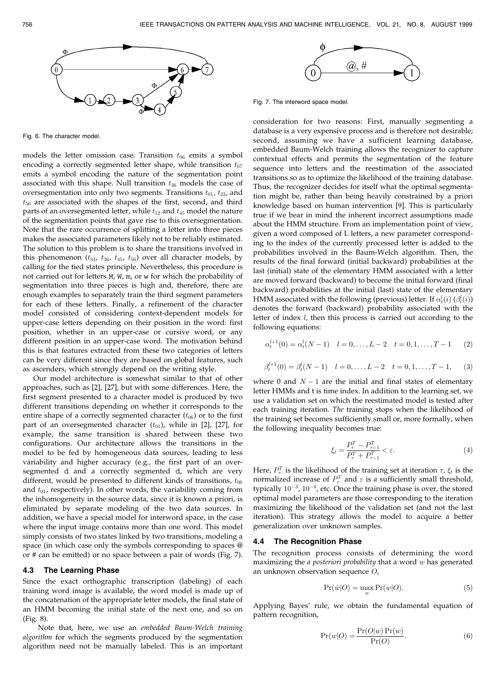

Fig. 6. The character model.

models the letter omission case. Transition  $t_{06}$  emits a symbol encoding a correctly segmented letter shape, while transition  $t_{67}$ emits a symbol encoding the nature of the segmentation point associated with this shape. Null transition  $t_{36}$  models the case of oversegmentation into only two segments. Transitions  $t_{01}$ ,  $t_{23}$ , and  $t_{56}$  are associated with the shapes of the first, second, and third parts of an oversegmented letter, while  $t_{12}$  and  $t_{45}$  model the nature of the segmentation points that gave rise to this oversegmentation. Note that the rare occurrence of splitting a letter into three pieces makes the associated parameters likely not to be reliably estimated. The solution to this problem is to share the transitions involved in this phenomenon  $(t_{34}, t_{36}, t_{45}, t_{56})$  over all character models, by calling for the tied states principle. Nevertheless, this procedure is not carried out for letters M, W, m, or w for which the probability of segmentation into three pieces is high and, therefore, there are enough examples to separately train the third segment parameters for each of these letters. Finally, a refinement of the character model consisted of considering context-dependent models for upper-case letters depending on their position in the word: first position, whether in an upper-case or cursive word, or any different position in an upper-case word. The motivation behind this is that features extracted from these two categories of letters can be very different since they are based on global features, such as ascenders, which strongly depend on the writing style.

Our model architecture is somewhat similar to that of other approaches, such as [2], [27], but with some differences. Here, the first segment presented to a character model is produced by two different transitions depending on whether it corresponds to the entire shape of a correctly segmented character  $(t_{06})$  or to the first part of an oversegmented character  $(t_{01})$ , while in [2], [27], for example, the same transition is shared between these two configurations. Our architecture allows the transitions in the model to be fed by homogeneous data sources, leading to less variability and higher accuracy (e.g., the first part of an oversegmented d and a correctly segmented d, which are very different, would be presented to different kinds of transitions,  $t_{06}$ and  $t_{01}$ , respectively). In other words, the variability coming from the inhomogeneity in the source data, since it is known a priori, is eliminated by separate modeling of the two data sources. In addition, we have a special model for interword space, in the case where the input image contains more than one word. This model simply consists of two states linked by two transitions, modeling a space (in which case only the symbols corresponding to spaces @ or # can be emitted) or no space between a pair of words (Fig. 7).

## 4.3 The Learning Phase

Since the exact orthographic transcription (labeling) of each training word image is available, the word model is made up of the concatenation of the appropriate letter models, the final state of an HMM becoming the initial state of the next one, and so on (Fig. 8).

Note that, here, we use an embedded Baum-Welch training algorithm for which the segments produced by the segmentation algorithm need not be manually labeled. This is an important



Fig. 7. The interword space model.

consideration for two reasons: First, manually segmenting a database is a very expensive process and is therefore not desirable; second, assuming we have a sufficient learning database, embedded Baum-Welch training allows the recognizer to capture contextual effects and permits the segmentation of the feature sequence into letters and the reestimation of the associated transitions so as to optimize the likelihood of the training database. Thus, the recognizer decides for itself what the optimal segmentation might be, rather than being heavily constrained by a priori knowledge based on human intervention [9]. This is particularly true if we bear in mind the inherent incorrect assumptions made about the HMM structure. From an implementation point of view, given a word composed of L letters, a new parameter corresponding to the index of the currently processed letter is added to the probabilities involved in the Baum-Welch algorithm. Then, the results of the final forward (initial backward) probabilities at the last (initial) state of the elementary HMM associated with a letter are moved forward (backward) to become the initial forward (final backward) probabilities at the initial (last) state of the elementary HMM associated with the following (previous) letter. If  $\alpha_t^l(i)$   $(\beta_t^l(i))$ denotes the forward (backward) probability associated with the letter of index l, then this process is carried out according to the following equations:

$$
\alpha_t^{l+1}(0) = \alpha_t^l (N-1) \quad l = 0, \dots, L-2 \quad t = 0, 1, \dots, T-1 \tag{2}
$$

$$
\beta_t^{l+1}(0) = \beta_t^l(N-1) \quad l = 0, \dots, L-2 \quad t = 0, 1, \dots, T-1,
$$
 (3)

where 0 and  $N - 1$  are the initial and final states of elementary letter HMMs and t is time index. In addition to the learning set, we use a validation set on which the reestimated model is tested after each training iteration. The training stops when the likelihood of the training set becomes sufficiently small or, more formally, when the following inequality becomes true:

$$
\xi_t = \frac{P_{\tau}^T - P_{\tau-1}^T}{P_{\tau}^T + P_{\tau-1}^T} < \varepsilon. \tag{4}
$$

Here,  $P_{\tau}^{T}$  is the likelihood of the training set at iteration  $\tau$ ,  $\xi_{t}$  is the normalized increase of  $P_{\tau}^{T}$  and  $\varepsilon$  is a sufficiently small threshold, typically  $10^{-3}$ ,  $10^{-4}$ , etc. Once the training phase is over, the stored optimal model parameters are those corresponding to the iteration maximizing the likelihood of the validation set (and not the last iteration). This strategy allows the model to acquire a better generalization over unknown samples.

#### 4.4 The Recognition Phase

The recognition process consists of determining the word maximizing the *a posteriori probability* that a word  $w$  has generated an unknown observation sequence O,

$$
\Pr(\hat{w}|O) = \max_{w} \Pr(w|O). \tag{5}
$$

Applying Bayes' rule, we obtain the fundamental equation of pattern recognition,

$$
\Pr(w|O) = \frac{\Pr(O|w)\Pr(w)}{\Pr(O)}.
$$
 (6)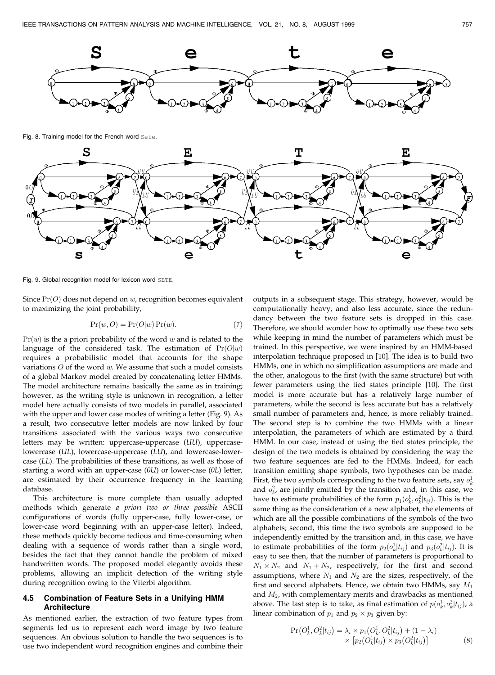

Fig. 9. Global recognition model for lexicon word SETE.

Since  $Pr(O)$  does not depend on w, recognition becomes equivalent to maximizing the joint probability,

$$
Pr(w, O) = Pr(O|w) Pr(w).
$$
 (7)

 $Pr(w)$  is the a priori probability of the word w and is related to the language of the considered task. The estimation of  $Pr(O|w)$ requires a probabilistic model that accounts for the shape variations  $O$  of the word  $w$ . We assume that such a model consists of a global Markov model created by concatenating letter HMMs. The model architecture remains basically the same as in training; however, as the writing style is unknown in recognition, a letter model here actually consists of two models in parallel, associated with the upper and lower case modes of writing a letter (Fig. 9). As a result, two consecutive letter models are now linked by four transitions associated with the various ways two consecutive letters may be written: uppercase-uppercase (UU), uppercaselowercase (UL), lowercase-uppercase (LU), and lowercase-lowercase (LL). The probabilities of these transitions, as well as those of starting a word with an upper-case (0U) or lower-case (0L) letter, are estimated by their occurrence frequency in the learning database.

This architecture is more complete than usually adopted methods which generate a priori two or three possible ASCII configurations of words (fully upper-case, fully lower-case, or lower-case word beginning with an upper-case letter). Indeed, these methods quickly become tedious and time-consuming when dealing with a sequence of words rather than a single word, besides the fact that they cannot handle the problem of mixed handwritten words. The proposed model elegantly avoids these problems, allowing an implicit detection of the writing style during recognition owing to the Viterbi algorithm.

## 4.5 Combination of Feature Sets in a Unifying HMM Architecture

As mentioned earlier, the extraction of two feature types from segments led us to represent each word image by two feature sequences. An obvious solution to handle the two sequences is to use two independent word recognition engines and combine their

outputs in a subsequent stage. This strategy, however, would be computationally heavy, and also less accurate, since the redundancy between the two feature sets is dropped in this case. Therefore, we should wonder how to optimally use these two sets while keeping in mind the number of parameters which must be trained. In this perspective, we were inspired by an HMM-based interpolation technique proposed in [10]. The idea is to build two HMMs, one in which no simplification assumptions are made and the other, analogous to the first (with the same structure) but with fewer parameters using the tied states principle [10]. The first model is more accurate but has a relatively large number of parameters, while the second is less accurate but has a relatively small number of parameters and, hence, is more reliably trained. The second step is to combine the two HMMs with a linear interpolation, the parameters of which are estimated by a third HMM. In our case, instead of using the tied states principle, the design of the two models is obtained by considering the way the two feature sequences are fed to the HMMs. Indeed, for each transition emitting shape symbols, two hypotheses can be made: First, the two symbols corresponding to the two feature sets, say  $o_k^1$ and  $o_k^2$ , are jointly emitted by the transition and, in this case, we have to estimate probabilities of the form  $p_1(o_k^1, o_k^2 | t_{ij})$ . This is the same thing as the consideration of a new alphabet, the elements of which are all the possible combinations of the symbols of the two alphabets; second, this time the two symbols are supposed to be independently emitted by the transition and, in this case, we have to estimate probabilities of the form  $p_2(o_k^1|t_{ij})$  and  $p_3(o_k^2|t_{ij})$ . It is easy to see then, that the number of parameters is proportional to  $N_1 \times N_2$  and  $N_1 + N_2$ , respectively, for the first and second assumptions, where  $N_1$  and  $N_2$  are the sizes, respectively, of the first and second alphabets. Hence, we obtain two HMMs, say  $M_1$ and  $M_2$ , with complementary merits and drawbacks as mentioned above. The last step is to take, as final estimation of  $p(o_k^1, o_k^2 | t_{ij})$ , a linear combination of  $p_1$  and  $p_2 \times p_3$  given by:

$$
\Pr(O_k^1, O_k^2 | t_{ij}) = \lambda_i \times p_1(O_k^1, O_k^2 | t_{ij}) + (1 - \lambda_i)
$$
  
 
$$
\times \left[ p_2(O_k^1 | t_{ij}) \times p_3(O_k^2 | t_{ij}) \right]
$$
 (8)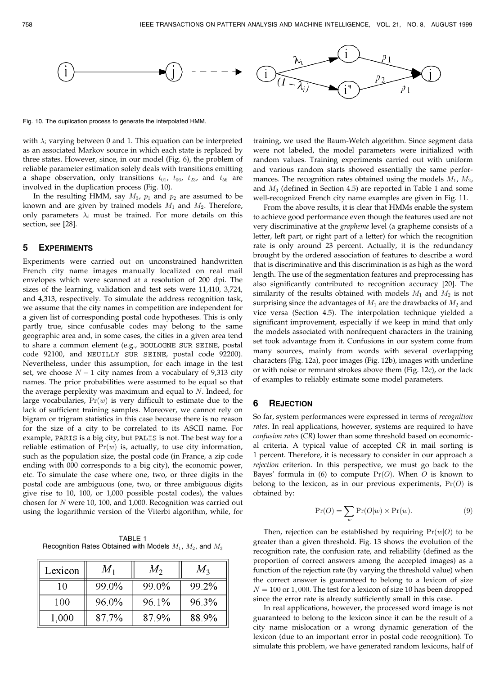

Fig. 10. The duplication process to generate the interpolated HMM.

with  $\lambda_i$  varying between 0 and 1. This equation can be interpreted as an associated Markov source in which each state is replaced by three states. However, since, in our model (Fig. 6), the problem of reliable parameter estimation solely deals with transitions emitting a shape observation, only transitions  $t_{01}$ ,  $t_{06}$ ,  $t_{23}$ , and  $t_{56}$  are involved in the duplication process (Fig. 10).

In the resulting HMM, say  $M_3$ ,  $p_1$  and  $p_2$  are assumed to be known and are given by trained models  $M_1$  and  $M_2$ . Therefore, only parameters  $\lambda_i$  must be trained. For more details on this section, see [28].

## 5 EXPERIMENTS

Experiments were carried out on unconstrained handwritten French city name images manually localized on real mail envelopes which were scanned at a resolution of 200 dpi. The sizes of the learning, validation and test sets were 11,410, 3,724, and 4,313, respectively. To simulate the address recognition task, we assume that the city names in competition are independent for a given list of corresponding postal code hypotheses. This is only partly true, since confusable codes may belong to the same geographic area and, in some cases, the cities in a given area tend to share a common element (e.g., BOULOGNE SUR SEINE, postal code 92100, and NEUILLY SUR SEINE, postal code 92200). Nevertheless, under this assumption, for each image in the test set, we choose  $N - 1$  city names from a vocabulary of 9,313 city names. The prior probabilities were assumed to be equal so that the average perplexity was maximum and equal to  $N$ . Indeed, for large vocabularies,  $Pr(w)$  is very difficult to estimate due to the lack of sufficient training samples. Moreover, we cannot rely on bigram or trigram statistics in this case because there is no reason for the size of a city to be correlated to its ASCII name. For example, PARIS is a big city, but PALIS is not. The best way for a reliable estimation of  $Pr(w)$  is, actually, to use city information, such as the population size, the postal code (in France, a zip code ending with 000 corresponds to a big city), the economic power, etc. To simulate the case where one, two, or three digits in the postal code are ambiguous (one, two, or three ambiguous digits give rise to 10, 100, or 1,000 possible postal codes), the values chosen for N were 10, 100, and 1,000. Recognition was carried out using the logarithmic version of the Viterbi algorithm, while, for

TABLE 1 Recognition Rates Obtained with Models  $M_1$ ,  $M_2$ , and  $M_3$ 

| Lexicon | $M_{\rm 1}$ | $M_{2}$  | $M_{\rm{2}}$ |
|---------|-------------|----------|--------------|
| 10      | 99.0%       | $99.0\%$ | 99.2%        |
| 100     | $96.0\%$    | $96.1\%$ | 96.3%        |
| 1,000   | $87.7\%$    | 87.9%    | 88.9%        |

training, we used the Baum-Welch algorithm. Since segment data were not labeled, the model parameters were initialized with random values. Training experiments carried out with uniform and various random starts showed essentially the same performances. The recognition rates obtained using the models  $M_1$ ,  $M_2$ , and  $M_3$  (defined in Section 4.5) are reported in Table 1 and some well-recognized French city name examples are given in Fig. 11.

From the above results, it is clear that HMMs enable the system to achieve good performance even though the features used are not very discriminative at the grapheme level (a grapheme consists of a letter, left part, or right part of a letter) for which the recognition rate is only around 23 percent. Actually, it is the redundancy brought by the ordered association of features to describe a word that is discriminative and this discrimination is as high as the word length. The use of the segmentation features and preprocessing has also significantly contributed to recognition accuracy [20]. The similarity of the results obtained with models  $M_1$  and  $M_2$  is not surprising since the advantages of  $M_1$  are the drawbacks of  $M_2$  and vice versa (Section 4.5). The interpolation technique yielded a significant improvement, especially if we keep in mind that only the models associated with nonfrequent characters in the training set took advantage from it. Confusions in our system come from many sources, mainly from words with several overlapping characters (Fig. 12a), poor images (Fig. 12b), images with underline or with noise or remnant strokes above them (Fig. 12c), or the lack of examples to reliably estimate some model parameters.

## 6 REJECTION

So far, system performances were expressed in terms of recognition rates. In real applications, however, systems are required to have confusion rates (CR) lower than some threshold based on economical criteria. A typical value of accepted CR in mail sorting is 1 percent. Therefore, it is necessary to consider in our approach a rejection criterion. In this perspective, we must go back to the Bayes' formula in (6) to compute  $Pr(O)$ . When O is known to belong to the lexicon, as in our previous experiments,  $Pr(O)$  is obtained by:

$$
\Pr(O) = \sum_{w} \Pr(O|w) \times \Pr(w). \tag{9}
$$

Then, rejection can be established by requiring  $Pr(w|O)$  to be greater than a given threshold. Fig. 13 shows the evolution of the recognition rate, the confusion rate, and reliability (defined as the proportion of correct answers among the accepted images) as a function of the rejection rate (by varying the threshold value) when the correct answer is guaranteed to belong to a lexicon of size  $N = 100$  or 1,000. The test for a lexicon of size 10 has been dropped since the error rate is already sufficiently small in this case.

In real applications, however, the processed word image is not guaranteed to belong to the lexicon since it can be the result of a city name mislocation or a wrong dynamic generation of the lexicon (due to an important error in postal code recognition). To simulate this problem, we have generated random lexicons, half of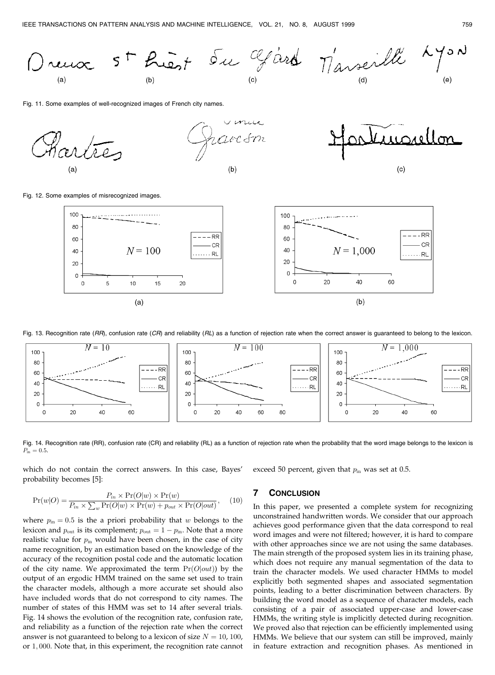

Fig. 11. Some examples of well-recognized images of French city names.



Fig. 12. Some examples of misrecognized images.



Fig. 13. Recognition rate (RR), confusion rate (CR) and reliability (RL) as a function of rejection rate when the correct answer is guaranteed to belong to the lexicon.



Fig. 14. Recognition rate (RR), confusion rate (CR) and reliability (RL) as a function of rejection rate when the probability that the word image belongs to the lexicon is  $P_{\rm in} = 0.5.$ 

which do not contain the correct answers. In this case, Bayes' probability becomes [5]:

$$
Pr(w|O) = \frac{P_{in} \times Pr(O|w) \times Pr(w)}{P_{in} \times \sum_{w} Pr(O|w) \times Pr(w) + p_{out} \times Pr(O|out)},
$$
 (10)

where  $p_{\text{in}} = 0.5$  is the a priori probability that w belongs to the lexicon and  $p_{\text{out}}$  is its complement;  $p_{\text{out}} = 1 - p_{\text{in}}$ . Note that a more realistic value for  $p_{\text{in}}$  would have been chosen, in the case of city name recognition, by an estimation based on the knowledge of the accuracy of the recognition postal code and the automatic location of the city name. We approximated the term  $Pr(O|out)$ ) by the output of an ergodic HMM trained on the same set used to train the character models, although a more accurate set should also have included words that do not correspond to city names. The number of states of this HMM was set to 14 after several trials. Fig. 14 shows the evolution of the recognition rate, confusion rate, and reliability as a function of the rejection rate when the correct answer is not guaranteed to belong to a lexicon of size  $N = 10, 100$ , or 1; 000. Note that, in this experiment, the recognition rate cannot

## 7 CONCLUSION

exceed 50 percent, given that  $p_{\text{in}}$  was set at 0.5.

In this paper, we presented a complete system for recognizing unconstrained handwritten words. We consider that our approach achieves good performance given that the data correspond to real word images and were not filtered; however, it is hard to compare with other approaches since we are not using the same databases. The main strength of the proposed system lies in its training phase, which does not require any manual segmentation of the data to train the character models. We used character HMMs to model explicitly both segmented shapes and associated segmentation points, leading to a better discrimination between characters. By building the word model as a sequence of character models, each consisting of a pair of associated upper-case and lower-case HMMs, the writing style is implicitly detected during recognition. We proved also that rejection can be efficiently implemented using HMMs. We believe that our system can still be improved, mainly in feature extraction and recognition phases. As mentioned in